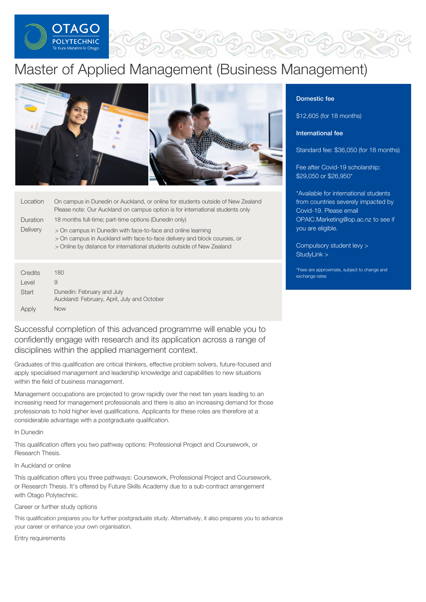

# Master of Applied Management (Business Management)



| Location        | On campus in Dunedin or Auckland, or online for students outside of New Zealand<br>Please note: Our Auckland on campus option is for international students only                                                   |
|-----------------|--------------------------------------------------------------------------------------------------------------------------------------------------------------------------------------------------------------------|
| Duration        | 18 months full-time; part-time options (Dunedin only)                                                                                                                                                              |
| <b>Delivery</b> | > On campus in Dunedin with face-to-face and online learning<br>> On campus in Auckland with face-to-face delivery and block courses, or<br>> Online by distance for international students outside of New Zealand |

| Credits | 180                                                                       |
|---------|---------------------------------------------------------------------------|
| Level   | 9                                                                         |
| Start   | Dunedin: February and July<br>Auckland: February, April, July and October |
| Apply   | Now                                                                       |

Successful completion of this advanced programme will enable you to confidently engage with research and its application across a range of disciplines within the applied management context.

Graduates of this qualification are critical thinkers, effective problem solvers, future-focused and apply specialised management and leadership knowledge and capabilities to new situations within the field of business management.

Management occupations are projected to grow rapidly over the next ten years leading to an increasing need for management professionals and there is also an increasing demand for those professionals to hold higher level qualifications. Applicants for these roles are therefore at a considerable advantage with a postgraduate qualification.

In Dunedin

This qualification offers you two pathway options: Professional Project and Coursework, or Research Thesis.

In Auckland or online

This qualification offers you three pathways: Coursework, Professional Project and Coursework, or Research Thesis. It's offered by Future Skills Academy due to a sub-contract arrangement with Otago Polytechnic.

# Career or further study options

This qualification prepares you for further postgraduate study. Alternatively, it also prepares you to advance your career or enhance your own organisation.

Entry requirements

# Domestic fee

\$12,605 (for 18 months)

# International fee

Standard fee: \$36,050 (for 18 months)

Fee after Covid-19 scholarship: \$29,050 or \$26,950\*

\*Available for international students from countries severely impacted by Covid-19. Please email [OPAIC.Marketing@op.ac.nz](mailto:OPAIC.Marketing@op.ac.nz?subject=Covid-19%20scholarship) to see if you are eligible.

[Compulsory](https://online.op.ac.nz/students/important-information/student-services-levy/) student levy > [StudyLink](https://www.studylink.govt.nz/) >

\*Fees are approximate, subject to change and exchange rates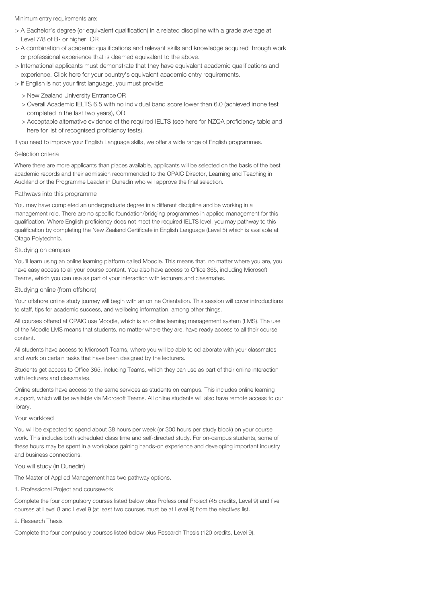Minimum entry requirements are:

- > A Bachelor's degree (or equivalent qualification) in a related discipline with a grade average at Level 7/8 of B- or higher, OR
- > A combination of academic qualifications and relevant skills and knowledge acquired through work or professional experience that is deemed equivalent to the above.
- > International applicants must demonstrate that they have equivalent academic qualifications and experience. Click here for your country's equivalent academic entry requirements.
- > If English is not your first language, you must provide:
	- > New Zealand University Entrance OR
	- > Overall Academic IELTS 6.5 with no individual band score lower than 6.0 (achieved inone test completed in the last two years), OR
	- > Acceptable alternative evidence of the required IELTS (see here for NZQA proficiency table and here for list of recognised proficiency tests).

If you need to improve your English Language skills, we offer a wide range of English programmes.

## Selection criteria

Where there are more applicants than places available, applicants will be selected on the basis of the best academic records and their admission recommended to the OPAIC Director, Learning and Teaching in Auckland or the Programme Leader in Dunedin who will approve the final selection.

## Pathways into this programme

You may have completed an undergraduate degree in a different discipline and be working in a management role. There are no specific foundation/bridging programmes in applied management for this qualification. Where English proficiency does not meet the required IELTS level, you may pathway to this qualification by completing the New Zealand Certificate in English Language (Level 5) which is available at Otago Polytechnic.

#### Studying on campus

You'll learn using an online learning platform called Moodle. This means that, no matter where you are, you have easy access to all your course content. You also have access to Office 365, including Microsoft Teams, which you can use as part of your interaction with lecturers and classmates.

#### Studying online (from offshore)

Your offshore online study journey will begin with an online Orientation. This session will cover introductions to staff, tips for academic success, and wellbeing information, among other things.

All courses offered at OPAIC use Moodle, which is an online learning management system (LMS). The use of the Moodle LMS means that students, no matter where they are, have ready access to all their course content.

All students have access to Microsoft Teams, where you will be able to collaborate with your classmates and work on certain tasks that have been designed by the lecturers.

Students get access to Office 365, including Teams, which they can use as part of their online interaction with lecturers and classmates.

Online students have access to the same services as students on campus. This includes online learning support, which will be available via Microsoft Teams. All online students will also have remote access to our library.

# Your workload

You will be expected to spend about 38 hours per week (or 300 hours per study block) on your course work. This includes both scheduled class time and self-directed study. For on-campus students, some of these hours may be spent in a workplace gaining hands-on experience and developing important industry and business connections.

## You will study (in Dunedin)

The Master of Applied Management has two pathway options.

#### 1. Professional Project and coursework

Complete the four compulsory courses listed below plus Professional Project (45 credits, Level 9) and five courses at Level 8 and Level 9 (at least two courses must be at Level 9) from the electives list.

#### 2. Research Thesis

Complete the four compulsory courses listed below plus Research Thesis (120 credits, Level 9).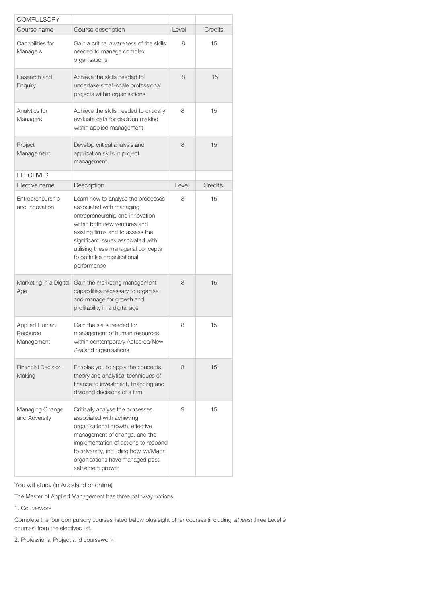| <b>COMPULSORY</b>                       |                                                                                                                                                                                                                                                                                                 |       |         |
|-----------------------------------------|-------------------------------------------------------------------------------------------------------------------------------------------------------------------------------------------------------------------------------------------------------------------------------------------------|-------|---------|
| Course name                             | Course description                                                                                                                                                                                                                                                                              | Level | Credits |
| Capabilities for<br>Managers            | Gain a critical awareness of the skills<br>needed to manage complex<br>organisations                                                                                                                                                                                                            | 8     | 15      |
| Research and<br>Enquiry                 | Achieve the skills needed to<br>undertake small-scale professional<br>projects within organisations                                                                                                                                                                                             | 8     | 15      |
| Analytics for<br>Managers               | Achieve the skills needed to critically<br>evaluate data for decision making<br>within applied management                                                                                                                                                                                       | 8     | 15      |
| Project<br>Management                   | Develop critical analysis and<br>application skills in project<br>management                                                                                                                                                                                                                    | 8     | 15      |
| <b>ELECTIVES</b>                        |                                                                                                                                                                                                                                                                                                 |       |         |
| Elective name                           | Description                                                                                                                                                                                                                                                                                     | Level | Credits |
| Entrepreneurship<br>and Innovation      | Learn how to analyse the processes<br>associated with managing<br>entrepreneurship and innovation<br>within both new ventures and<br>existing firms and to assess the<br>significant issues associated with<br>utilising these managerial concepts<br>to optimise organisational<br>performance | 8     | 15      |
| Marketing in a Digital<br>Age           | Gain the marketing management<br>capabilities necessary to organise<br>and manage for growth and<br>profitability in a digital age                                                                                                                                                              | 8     | 15      |
| Applied Human<br>Resource<br>Management | Gain the skills needed for<br>management of human resources<br>within contemporary Aotearoa/New<br>Zealand organisations                                                                                                                                                                        | 8     | 15      |
| <b>Financial Decision</b><br>Making     | Enables you to apply the concepts,<br>theory and analytical techniques of<br>finance to investment, financing and<br>dividend decisions of a firm                                                                                                                                               | 8     | 15      |
| Managing Change<br>and Adversity        | Critically analyse the processes<br>associated with achieving<br>organisational growth, effective<br>management of change, and the<br>implementation of actions to respond<br>to adversity, including how iwi/Maori<br>organisations have managed post<br>settlement growth                     | 9     | 15      |

You will study (in Auckland or online)

The Master of Applied Management has three pathway options.

1. Coursework

Complete the four compulsory courses listed below plus eight other courses (including at least three Level 9 courses) from the electives list.

2. Professional Project and coursework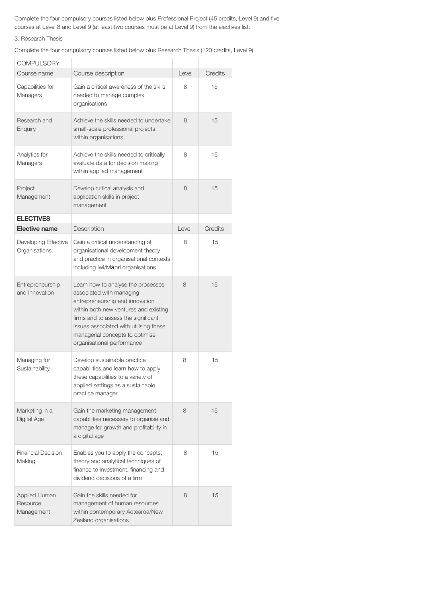Complete the four compulsory courses listed below plus Professional Project (45 credits, Level 9) and five courses at Level 8 and Level 9 (at least two courses must be at Level 9) from the electives list.

# 3. Research Thesis

Complete the four compulsory courses listed below plus Research Thesis (120 credits, Level 9).

| <b>COMPULSORY</b>                       |                                                                                                                                                                                                                                                                                              |       |                |
|-----------------------------------------|----------------------------------------------------------------------------------------------------------------------------------------------------------------------------------------------------------------------------------------------------------------------------------------------|-------|----------------|
| Course name                             | Course description                                                                                                                                                                                                                                                                           | Level | <b>Credits</b> |
| Capabilities for<br>Managers            | Gain a critical awareness of the skills<br>needed to manage complex<br>organisations                                                                                                                                                                                                         | 8     | 15             |
| Research and<br>Enquiry                 | Achieve the skills needed to undertake<br>small-scale professional projects<br>within organisations                                                                                                                                                                                          | 8     | 15             |
| Analytics for<br>Managers               | Achieve the skills needed to critically<br>evaluate data for decision making<br>within applied management                                                                                                                                                                                    | 8     | 15             |
| Project<br>Management                   | Develop critical analysis and<br>application skills in project<br>management                                                                                                                                                                                                                 | 8     | 15             |
| <b>ELECTIVES</b>                        |                                                                                                                                                                                                                                                                                              |       |                |
| <b>Elective name</b>                    | Description                                                                                                                                                                                                                                                                                  | Level | Credits        |
| Developing Effective<br>Organisations   | Gain a critical understanding of<br>organisational development theory<br>and practice in organisational contexts<br>including lwi/Māori organisations                                                                                                                                        | 8     | 15             |
| Entrepreneurship<br>and Innovation      | Learn how to analyse the processes<br>associated with managing<br>entrepreneurship and innovation<br>within both new ventures and existing<br>firms and to assess the significant<br>issues associated with utilising these<br>managerial concepts to optimise<br>organisational performance | 8     | 15             |
| Managing for<br>Sustainability          | Develop sustainable practice<br>capabilities and learn how to apply<br>these capabilities to a variety of<br>applied settings as a sustainable<br>practice manager                                                                                                                           | 8     | 15             |
| Marketing in a<br>Digital Age           | Gain the marketing management<br>capabilities necessary to organise and<br>manage for growth and profitability in<br>a digital age                                                                                                                                                           | 8     | 15             |
| <b>Financial Decision</b><br>Making     | Enables you to apply the concepts,<br>theory and analytical techniques of<br>finance to investment, financing and<br>dividend decisions of a firm                                                                                                                                            | 8     | 15             |
| Applied Human<br>Resource<br>Management | Gain the skills needed for<br>management of human resources<br>within contemporary Aotearoa/New<br>Zealand organisations                                                                                                                                                                     | 8     | 15             |